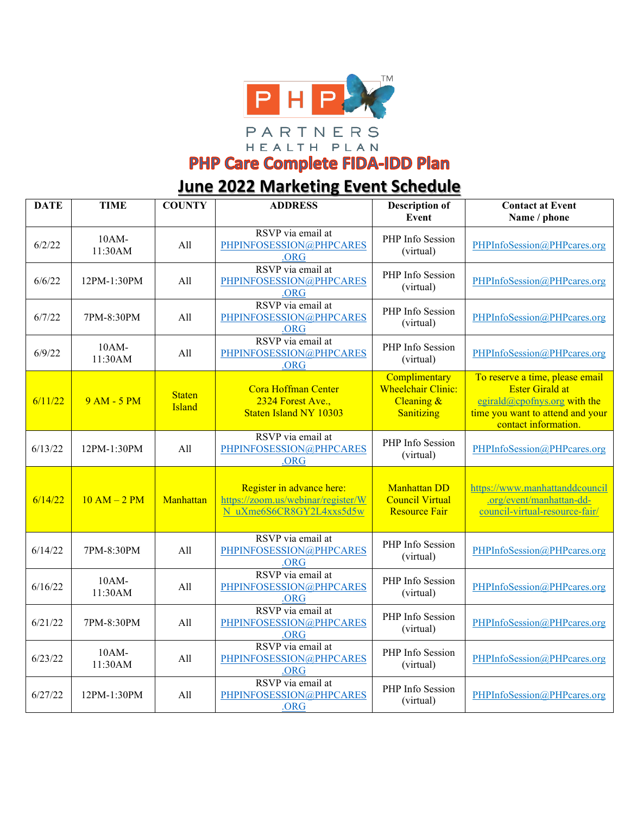

HEALTH PLAN

**PHP Care Complete FIDA-IDD Plan** 

## **June 2022 Marketing Event Schedule**

| <b>DATE</b> | <b>TIME</b>         | <b>COUNTY</b>                  | <b>ADDRESS</b>                                                                              | <b>Description of</b><br>Event                                         | <b>Contact at Event</b><br>Name / phone                                                                                                               |
|-------------|---------------------|--------------------------------|---------------------------------------------------------------------------------------------|------------------------------------------------------------------------|-------------------------------------------------------------------------------------------------------------------------------------------------------|
| 6/2/22      | 10AM-<br>11:30AM    | All                            | RSVP via email at<br>PHPINFOSESSION@PHPCARES<br>.ORG                                        | PHP Info Session<br>(virtual)                                          | PHPInfoSession@PHPcares.org                                                                                                                           |
| 6/6/22      | 12PM-1:30PM         | All                            | RSVP via email at<br>PHPINFOSESSION@PHPCARES<br>.ORG                                        | PHP Info Session<br>(virtual)                                          | PHPInfoSession@PHPcares.org                                                                                                                           |
| 6/7/22      | 7PM-8:30PM          | All                            | RSVP via email at<br>PHPINFOSESSION@PHPCARES<br>.ORG                                        | PHP Info Session<br>(virtual)                                          | PHPInfoSession@PHPcares.org                                                                                                                           |
| 6/9/22      | $10AM-$<br>11:30AM  | All                            | RSVP via email at<br>PHPINFOSESSION@PHPCARES<br>.ORG                                        | PHP Info Session<br>(virtual)                                          | PHPInfoSession@PHPcares.org                                                                                                                           |
| 6/11/22     | 9 AM - 5 PM         | <b>Staten</b><br><b>Island</b> | Cora Hoffman Center<br>2324 Forest Ave.,<br><b>Staten Island NY 10303</b>                   | Complimentary<br><b>Wheelchair Clinic:</b><br>Cleaning &<br>Sanitizing | To reserve a time, please email<br><b>Ester Girald at</b><br>egirald@cpofnys.org with the<br>time you want to attend and your<br>contact information. |
| 6/13/22     | 12PM-1:30PM         | All                            | RSVP via email at<br>PHPINFOSESSION@PHPCARES<br>.ORG                                        | PHP Info Session<br>(virtual)                                          | PHPInfoSession@PHPcares.org                                                                                                                           |
| 6/14/22     | $10 AM - 2 PM$      | Manhattan                      | Register in advance here:<br>https://zoom.us/webinar/register/W<br>N uXme6S6CR8GY2L4xxs5d5w | <b>Manhattan DD</b><br><b>Council Virtual</b><br><b>Resource Fair</b>  | https://www.manhattanddcouncil<br>.org/event/manhattan-dd-<br>council-virtual-resource-fair/                                                          |
| 6/14/22     | 7PM-8:30PM          | All                            | RSVP via email at<br>PHPINFOSESSION@PHPCARES<br>.ORG                                        | PHP Info Session<br>(virtual)                                          | PHPInfoSession@PHPcares.org                                                                                                                           |
| 6/16/22     | 10AM-<br>11:30AM    | All                            | RSVP via email at<br>PHPINFOSESSION@PHPCARES<br>.ORG                                        | PHP Info Session<br>(virtual)                                          | PHPInfoSession@PHPcares.org                                                                                                                           |
| 6/21/22     | 7PM-8:30PM          | All                            | RSVP via email at<br>PHPINFOSESSION@PHPCARES<br>.ORG                                        | PHP Info Session<br>(virtual)                                          | PHPInfoSession@PHPcares.org                                                                                                                           |
| 6/23/22     | $10AM -$<br>11:30AM | All                            | RSVP via email at<br>PHPINFOSESSION@PHPCARES<br>.ORG                                        | PHP Info Session<br>(virtual)                                          | PHPInfoSession@PHPcares.org                                                                                                                           |
| 6/27/22     | 12PM-1:30PM         | All                            | RSVP via email at<br>PHPINFOSESSION@PHPCARES<br>.ORG                                        | PHP Info Session<br>(virtual)                                          | PHPInfoSession@PHPcares.org                                                                                                                           |